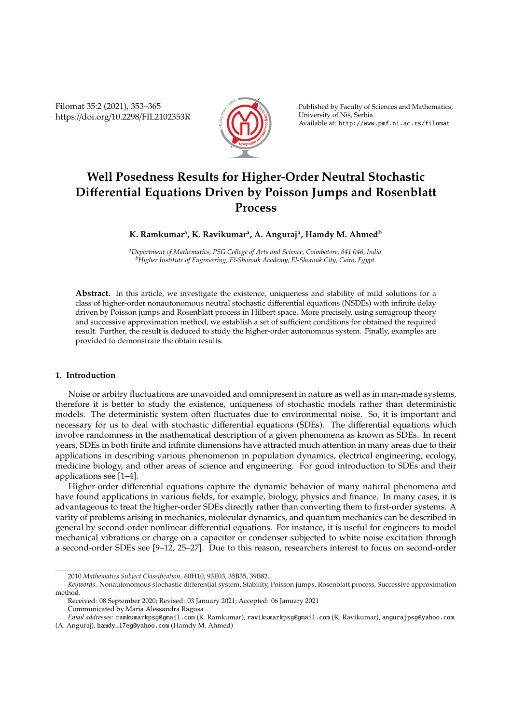Filomat 35:2 (2021), 353–365 https://doi.org/10.2298/FIL2102353R



Published by Faculty of Sciences and Mathematics, University of Niš, Serbia Available at: http://www.pmf.ni.ac.rs/filomat

# **Well Posedness Results for Higher-Order Neutral Stochastic Di**ff**erential Equations Driven by Poisson Jumps and Rosenblatt Process**

**K. Ramkumar<sup>a</sup> , K. Ravikumar<sup>a</sup> , A. Anguraj<sup>a</sup> , Hamdy M. Ahmed<sup>b</sup>**

*<sup>a</sup>Department of Mathematics, PSG College of Arts and Science, Coimbatore, 641 046, India. <sup>b</sup>Higher Institute of Engineering, El-Shorouk Academy, El-Shorouk City, Cairo, Egypt.*

**Abstract.** In this article, we investigate the existence, uniqueness and stability of mild solutions for a class of higher-order nonautonomous neutral stochastic differential equations (NSDEs) with infinite delay driven by Poisson jumps and Rosenblatt process in Hilbert space. More precisely, using semigroup theory and successive approximation method, we establish a set of sufficient conditions for obtained the required result. Further, the result is deduced to study the higher-order autonomous system. Finally, examples are provided to demonstrate the obtain results.

## **1. Introduction**

Noise or arbitry fluctuations are unavoided and omnipresent in nature as well as in man-made systems, therefore it is better to study the existence, uniqueness of stochastic models rather than deterministic models. The deterministic system often fluctuates due to environmental noise. So, it is important and necessary for us to deal with stochastic differential equations (SDEs). The differential equations which involve randomness in the mathematical description of a given phenomena as known as SDEs. In recent years, SDEs in both finite and infinite dimensions have attracted much attention in many areas due to their applications in describing various phenomenon in population dynamics, electrical engineering, ecology, medicine biology, and other areas of science and engineering. For good introduction to SDEs and their applications see [1–4].

Higher-order differential equations capture the dynamic behavior of many natural phenomena and have found applications in various fields, for example, biology, physics and finance. In many cases, it is advantageous to treat the higher-order SDEs directly rather than converting them to first-order systems. A varity of problems arising in mechanics, molecular dynamics, and quantum mechanics can be described in general by second-order nonlinear differential equations. For instance, it is useful for engineers to model mechanical vibrations or charge on a capacitor or condenser subjected to white noise excitation through a second-order SDEs see [9–12, 25–27]. Due to this reason, researchers interest to focus on second-order

<sup>2010</sup> *Mathematics Subject Classification*. 60H10, 93E03, 35B35, 39B82.

*Keywords*. Nonautonomous stochastic differential system, Stability, Poisson jumps, Rosenblatt process, Successive approximation method.

Received: 08 September 2020; Revised: 03 January 2021; Accepted: 06 January 2021 Communicated by Maria Alessandra Ragusa

*Email addresses:* ramkumarkpsg@gmail.com (K. Ramkumar), ravikumarkpsg@gmail.com (K. Ravikumar), angurajpsg@yahoo.com (A. Anguraj), hamdy\_17eg@yahoo.com (Hamdy M. Ahmed)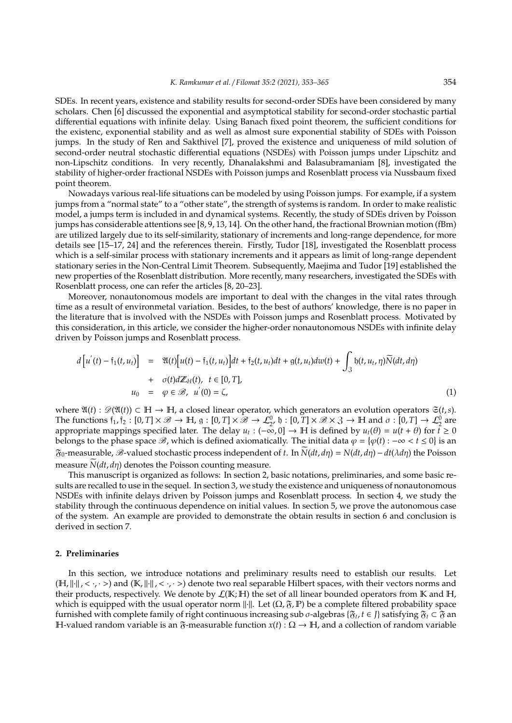SDEs. In recent years, existence and stability results for second-order SDEs have been considered by many scholars. Chen [6] discussed the exponential and asymptotical stability for second-order stochastic partial differential equations with infinite delay. Using Banach fixed point theorem, the sufficient conditions for the existenc, exponential stability and as well as almost sure exponential stability of SDEs with Poisson jumps. In the study of Ren and Sakthivel [7], proved the existence and uniqueness of mild solution of second-order neutral stochastic differential equations (NSDEs) with Poisson jumps under Lipschitz and non-Lipschitz conditions. In very recently, Dhanalakshmi and Balasubramaniam [8], investigated the stability of higher-order fractional NSDEs with Poisson jumps and Rosenblatt process via Nussbaum fixed point theorem.

Nowadays various real-life situations can be modeled by using Poisson jumps. For example, if a system jumps from a "normal state" to a "other state", the strength of systems is random. In order to make realistic model, a jumps term is included in and dynamical systems. Recently, the study of SDEs driven by Poisson jumps has considerable attentions see [8, 9, 13, 14]. On the other hand, the fractional Brownian motion (fBm) are utilized largely due to its self-similarity, stationary of increments and long-range dependence, for more details see [15–17, 24] and the references therein. Firstly, Tudor [18], investigated the Rosenblatt process which is a self-similar process with stationary increments and it appears as limit of long-range dependent stationary series in the Non-Central Limit Theorem. Subsequently, Maejima and Tudor [19] established the new properties of the Rosenblatt distribution. More recently, many researchers, investigated the SDEs with Rosenblatt process, one can refer the articles [8, 20–23].

Moreover, nonautonomous models are important to deal with the changes in the vital rates through time as a result of environmetal variation. Besides, to the best of authors' knowledge, there is no paper in the literature that is involved with the NSDEs with Poisson jumps and Rosenblatt process. Motivated by this consideration, in this article, we consider the higher-order nonautonomous NSDEs with infinite delay driven by Poisson jumps and Rosenblatt process.

$$
d\left[u^{'}(t) - \tilde{\tau}_{1}(t, u_{t})\right] = \mathfrak{A}(t)\left[u(t) - \tilde{\tau}_{1}(t, u_{t})\right]dt + \tilde{\tau}_{2}(t, u_{t})dt + g(t, u_{t})dw(t) + \int_{3} \mathfrak{h}(t, u_{t}, \eta)\widetilde{N}(dt, d\eta) + \sigma(t)d\mathbb{Z}_{H}(t), \quad t \in [0, T],
$$
  
\n
$$
u_{0} = \varphi \in \mathcal{B}, \quad u^{'}(0) = \zeta,
$$
\n(1)

where  $\mathfrak{A}(t)$  :  $\mathcal{D}(\mathfrak{A}(t)) \subset \mathbb{H} \to \mathbb{H}$ , a closed linear operator, which generators an evolution operators  $\mathfrak{S}(t, s)$ . The functions  $f_1, f_2 : [0, T] \times \mathcal{B} \to \mathbb{H}$ ,  $g : [0, T] \times \mathcal{B} \to \mathcal{L}_2^0$ ,  $b : [0, T] \times \mathcal{B} \times \mathcal{S} \to \mathbb{H}$  and  $\sigma : [0, T] \to \mathcal{L}_2^0$  are appropriate mappings specified later. The delay  $u_t: (-\infty, 0] \to \mathbb{H}$  is defined by  $u_t(\theta) = u(t + \theta)$  for  $t \geq 0$ belongs to the phase space  $\mathscr{B}$ , which is defined axiomatically. The initial data  $\varphi = \{\varphi(t) : -\infty < t \leq 0\}$  is an  $\mathfrak{F}_0$ -measurable,  $\mathscr{B}$ -valued stochastic process independent of *t*. In  $N(dt, d\eta) = N(dt, d\eta) - dt(\lambda d\eta)$  the Poisson measure  $N(dt, d\eta)$  denotes the Poisson counting measure.

This manuscript is organized as follows: In section 2, basic notations, preliminaries, and some basic results are recalled to use in the sequel. In section 3, we study the existence and uniqueness of nonautonomous NSDEs with infinite delays driven by Poisson jumps and Rosenblatt process. In section 4, we study the stability through the continuous dependence on initial values. In section 5, we prove the autonomous case of the system. An example are provided to demonstrate the obtain results in section 6 and conclusion is derived in section 7.

#### **2. Preliminaries**

In this section, we introduce notations and preliminary results need to establish our results. Let  $(H, ||\cdot||, \langle \cdot, \cdot \rangle)$  and  $(K, ||\cdot||, \langle \cdot, \cdot \rangle)$  denote two real separable Hilbert spaces, with their vectors norms and their products, respectively. We denote by  $\mathcal{L}(\mathbb{K};\mathbb{H})$  the set of all linear bounded operators from  $\mathbb K$  and  $\mathbb H$ , which is equipped with the usual operator norm  $\|\cdot\|$ . Let  $(\Omega, \mathfrak{F}, \mathbb{P})$  be a complete filtered probability space furnished with complete family of right continuous increasing sub  $\sigma$ -algebras { $\mathfrak{F}_t$ ,  $t \in J$ } satisfying  $\mathfrak{F}_t \subset \mathfrak{F}$  an H-valued random variable is an  $\mathfrak{F}$ -measurable function  $x(t): \Omega \to \mathbb{H}$ , and a collection of random variable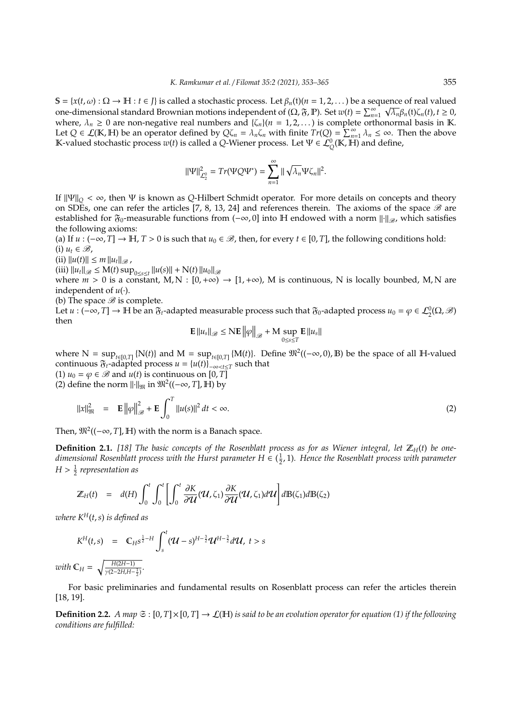$\mathbb{S} = \{x(t, \omega) : \Omega \to \mathbb{H} : t \in J\}$  is called a stochastic process. Let  $\beta_n(t)$  ( $n = 1, 2, ...$ ) be a sequence of real valued one-dimensional standard Brownian motions independent of  $(\Omega, \mathfrak{F}, \mathbb{P})$ . Set  $w(t) = \sum_{n=1}^{\infty} \sqrt{\lambda_n} \beta_n(t) \zeta_n(t)$ ,  $t \ge 0$ , where,  $\lambda_n \geq 0$  are non-negative real numbers and  $\{\zeta_n\}$ ( $n = 1, 2, \ldots$ ) is complete orthonormal basis in K. Let  $Q \in \mathcal{L}(\mathbb{K}, \mathbb{H})$  be an operator defined by  $Q\zeta_n = \lambda_n\zeta_n$  with finite  $Tr(Q) = \sum_{n=1}^{\infty} \lambda_n \leq \infty$ . Then the above K-valued stochastic process  $w(t)$  is called a *Q*-Wiener process. Let  $\Psi \in \mathcal{L}_{Q}^{0}(\mathbb{K}, \mathbb{H})$  and define,

$$
\|\Psi\|_{\mathcal{L}_2^0}^2 = Tr(\Psi Q \Psi^*) = \sum_{n=1}^\infty \|\sqrt{\lambda_n} \Psi \zeta_n\|^2.
$$

If  $\|\Psi\|_Q < \infty$ , then  $\Psi$  is known as *Q*-Hilbert Schmidt operator. For more details on concepts and theory on SDEs, one can refer the articles [7, 8, 13, 24] and references therein. The axioms of the space  $\mathscr B$  are established for  $\mathfrak{F}_0$ -measurable functions from  $(-\infty, 0]$  into H endowed with a norm  $\|\cdot\|_{\mathscr{B}}$ , which satisfies the following axioms:

(a) If *u* :  $(-\infty, T]$  → H, *T* > 0 is such that *u*<sub>0</sub> ∈ *B*, then, for every *t* ∈ [0, *T*], the following conditions hold:  $(i)$   $u_t \in \mathcal{B}$ ,

 $(iii) ||u(t)|| \leq m ||u_t||_{\mathscr{B}}$ ,

 $(iii)$   $\|u_t\|_{\mathscr{B}} \le M(t) \sup_{0 \le s \le t} \|u(s)\| + N(t) \|u_0\|_{\mathscr{B}}$ 

where  $m > 0$  is a constant, M, N :  $[0, +\infty) \rightarrow [1, +\infty)$ , M is continuous, N is locally bounbed, M, N are independent of  $u(\cdot)$ .

(b) The space  $\mathscr B$  is complete.

Let  $u: (-\infty, T] \to \mathbb{H}$  be an  $\mathfrak{F}_t$ -adapted measurable process such that  $\mathfrak{F}_0$ -adapted process  $u_0 = \varphi \in \mathcal{L}_2^0(\Omega, \mathscr{B})$ then

$$
\mathbf{E} \left\| u_s \right\|_{\mathscr{B}} \le \mathrm{N} \mathbf{E} \left\| \varphi \right\|_{\mathscr{B}} + \mathrm{M} \sup_{0 \le s \le T} \mathbf{E} \left\| u_s \right\|
$$

where  $N = \sup_{t \in [0,T]} \{N(t)\}\$  and  $M = \sup_{t \in [0,T]} \{M(t)\}\$ . Define  $\mathfrak{M}^2((-\infty,0), \mathbb{B})$  be the space of all H-valued continuous  $\mathfrak{F}_t$ -adapted process  $u = \{u(t)\}_{-\infty < t \leq T}$  such that (1)  $u_0 = \varphi \in \mathcal{B}$  and  $u(t)$  is continuous on [0, *T*]

(2) define the norm  $\|\cdot\|_{\mathfrak{M}}$  in  $\mathfrak{M}^2((-\infty, T], \mathbb{H})$  by

$$
\|x\|_{\mathfrak{M}}^{2} = \mathbf{E} \left\| \varphi \right\|_{\mathscr{B}}^{2} + \mathbf{E} \int_{0}^{T} \left\| u(s) \right\|^{2} dt < \infty.
$$
 (2)

Then,  $\mathfrak{M}^2((-\infty, T], \mathbb{H})$  with the norm is a Banach space.

**Definition 2.1.** [18] The basic concepts of the Rosenblatt process as for as Wiener integral, let  $\mathbb{Z}_H(t)$  be onedimensional Rosenblatt process with the Hurst parameter  $H \in (\frac{1}{2}, 1)$ . Hence the Rosenblatt process with parameter *H* > 1 2 *representation as*

$$
\mathbb{Z}_H(t) = d(H) \int_0^t \int_0^t \left[ \int_0^t \frac{\partial K}{\partial \mathcal{U}}(\mathcal{U}, \zeta_1) \frac{\partial K}{\partial \mathcal{U}}(\mathcal{U}, \zeta_1) d\mathcal{U} \right] d\mathbb{B}(\zeta_1) d\mathbb{B}(\zeta_2)
$$

*where*  $K^H(t, s)$  *is defined as* 

$$
K^{H}(t,s) = C_{H}s^{\frac{1}{2}-H} \int_{s}^{t} (U-s)^{H-\frac{3}{2}} U^{H-\frac{3}{2}} dU, \ t > s
$$

*with*  $\mathbb{C}_H = \sqrt{\frac{H(2H-1)}{v(2-2HH-1)}}$  $\frac{H(2H-1)}{\gamma(2-2H,H-\frac{1}{2})}$ .

For basic preliminaries and fundamental results on Rosenblatt process can refer the articles therein [18, 19].

**Definition 2.2.** *A map*  $\mathfrak{S}$  :  $[0,T] \times [0,T] \to \mathcal{L}(\mathbb{H})$  *is said to be an evolution operator for equation (1) if the following conditions are fulfilled:*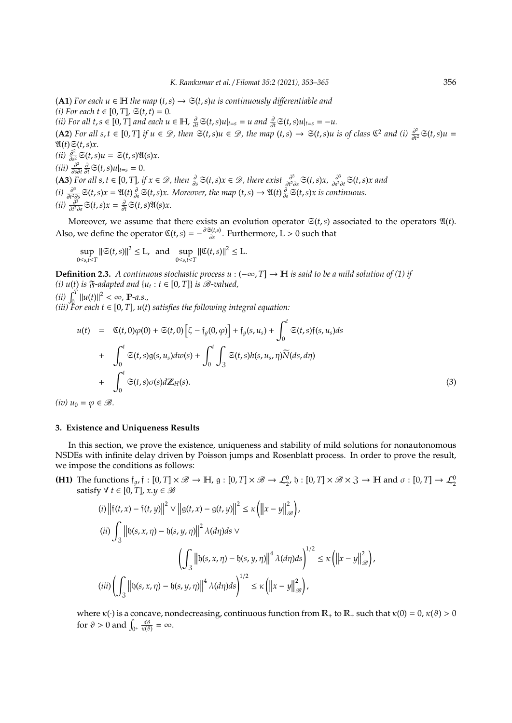(**A1**) *For each u* ∈ H *the map* (*t*,*s*) → S(*t*,*s*)*u is continuously di*ff*erentiable and*  $(i)$  *For each t* ∈ [0, *T*],  $\Im(t, t) = 0$ . *(ii) For all t*, *s* ∈ [0, *T*] *and each*  $u \in \mathbb{H}$ ,  $\frac{\partial}{\partial t} \mathfrak{S}(t,s)u|_{t=s} = u$  *and*  $\frac{\partial}{\partial t} \mathfrak{S}(t,s)u|_{t=s} = -u$ .  $(A2)$  *For all s,t* ∈ [0, *T*] *if*  $u \in \mathcal{D}$ , then  $\mathfrak{S}(t,s)u \in \mathcal{D}$ , the map  $(t,s)$  →  $\mathfrak{S}(t,s)u$  is of class  $\mathfrak{C}^2$  and (i)  $\frac{\partial^2}{\partial t^2}$  $\frac{\partial^2}{\partial t^2}$  $\mathfrak{S}(t,s)u =$  $\mathfrak{A}(t)\mathfrak{S}(t,s)x$ .  $(ii)$   $\frac{\partial^2}{\partial s^2}$  $\frac{\partial^2}{\partial s^2}$   $\mathfrak{S}(t,s)u = \mathfrak{S}(t,s)\mathfrak{A}(s)x$ .  $(iii)$   $\frac{\partial^2}{\partial s^2}$  $\frac{\partial^2}{\partial s \partial t} \frac{\partial}{\partial t} \mathfrak{S}(t, s) u|_{t=s} = 0.$ **(A3)** For all  $s, t \in [0, T]$ , if  $x \in \mathcal{D}$ , then  $\frac{\partial}{\partial s} \mathfrak{S}(t, s) x \in \mathcal{D}$ , there exist  $\frac{\partial^3}{\partial t^2 \partial s} \mathfrak{S}(t, s) x$ ,  $\frac{\partial^3}{\partial s^2 \partial t} \mathfrak{S}(t, s) x$  and  $\delta$ **s**  $(i)$   $\frac{\partial^3}{\partial t^2 \partial s}$   $\delta(t, s)x = \mathfrak{A}(t) \frac{\partial}{\partial s} \mathfrak{S}(t, s)x$ . Moreover, the map  $(t, s) \rightarrow \mathfrak{A}(t) \frac{\partial}{\partial s} \mathfrak{S}(t, s)x$  is con  $\frac{\partial^3}{\partial t^2 \partial s}$ S $(t, s)x = \mathfrak{A}(t) \frac{\partial}{\partial s}$ S $(t, s)x$ . Moreover, the map  $(t, s) \rightarrow \mathfrak{A}(t) \frac{\partial}{\partial s}$ S $(t, s)x$  is continuous.  $(ii)$   $\frac{\partial^3}{\partial t^2}$  $\frac{\partial^3}{\partial t^2 \partial s}$   $\mathfrak{S}(t, s)$ *x* =  $\frac{\partial}{\partial t}$   $\mathfrak{S}(t, s)$   $\mathfrak{A}(s)$ *x*.

Moreover, we assume that there exists an evolution operator  $\mathfrak{S}(t,s)$  associated to the operators  $\mathfrak{A}(t)$ . Also, we define the operator  $\mathfrak{C}(t,s) = -\frac{\partial \mathfrak{S}(t,s)}{\partial s}$  $\frac{\partial u(s)}{\partial s}$ . Furthermore, L > 0 such that

$$
\sup_{0\le s,t\le T} \|\mathfrak{S}(t,s)\|^2 \le L, \text{ and } \sup_{0\le s,t\le T} \|\mathfrak{C}(t,s)\|^2 \le L.
$$

**Definition 2.3.** *A continuous stochastic process u* :  $(-\infty, T] \rightarrow \mathbb{H}$  *is said to be a mild solution of (1) if (i)*  $u(t)$  *is*  $\mathfrak{F}$ *-adapted and*  $\{u_t : t \in [0, T]\}$  *is*  $\mathcal{B}$ *-valued,*  $\lim_{t \to \infty} \int_{0}^{T} ||u(t)||^{2} < \infty$ , **P**-a.s.,

 $(iii)$  For each  $t \in [0, T]$ ,  $u(t)$  satisfies the following integral equation:

$$
u(t) = \mathfrak{C}(t,0)\varphi(0) + \mathfrak{S}(t,0)\left[\zeta - \mathfrak{f}_g(0,\varphi)\right] + \mathfrak{f}_g(s,u_s) + \int_0^t \mathfrak{S}(t,s)\mathfrak{f}(s,u_s)ds
$$
  
+ 
$$
\int_0^t \mathfrak{S}(t,s)g(s,u_s)dw(s) + \int_0^t \int_3 \mathfrak{S}(t,s)h(s,u_s,\eta)\widetilde{N}(ds,d\eta)
$$
  
+ 
$$
\int_0^t \mathfrak{S}(t,s)\sigma(s)d\mathbb{Z}_H(s).
$$
 (3)

 $(iv)$   $u_0 = \varphi \in \mathcal{B}$ .

### **3. Existence and Uniqueness Results**

In this section, we prove the existence, uniqueness and stability of mild solutions for nonautonomous NSDEs with infinite delay driven by Poisson jumps and Rosenblatt process. In order to prove the result, we impose the conditions as follows:

**(H1)** The functions  $f_{g}$ ,  $f : [0, T] \times \mathcal{B} \to \mathbb{H}$ ,  $g : [0, T] \times \mathcal{B} \to \mathcal{L}_2^0$ ,  $b : [0, T] \times \mathcal{B} \times 3 \to \mathbb{H}$  and  $\sigma : [0, T] \to \mathcal{L}_2^0$ satisfy  $\forall$  *t* ∈ [0, *T*], *x*.*y* ∈  $\mathcal{B}$ 

(i) 
$$
\left\| \tilde{\mathbf{r}}(t, x) - \tilde{\mathbf{r}}(t, y) \right\|^2 \vee \left\| g(t, x) - g(t, y) \right\|^2 \le \kappa \left( \left\| x - y \right\|_{\mathcal{B}}^2 \right),
$$
  
\n(ii)  $\int_3 \left\| b(s, x, \eta) - b(s, y, \eta) \right\|^2 \lambda(d\eta) ds \vee$   
\n $\left( \int_3 \left\| b(s, x, \eta) - b(s, y, \eta) \right\|^4 \lambda(d\eta) ds \right)^{1/2} \le \kappa \left( \left\| x - y \right\|_{\mathcal{B}}^2 \right),$   
\n(iii)  $\left( \int_3 \left\| b(s, x, \eta) - b(s, y, \eta) \right\|^4 \lambda(d\eta) ds \right)^{1/2} \le \kappa \left( \left\| x - y \right\|_{\mathcal{B}}^2 \right),$ 

where  $\kappa(\cdot)$  is a concave, nondecreasing, continuous function from  $\mathbb{R}_+$  to  $\mathbb{R}_+$  such that  $\kappa(0) = 0$ ,  $\kappa(\vartheta) > 0$ for  $\vartheta > 0$  and  $\int_{0^+} \frac{d\vartheta}{\kappa(\vartheta)} = \infty$ .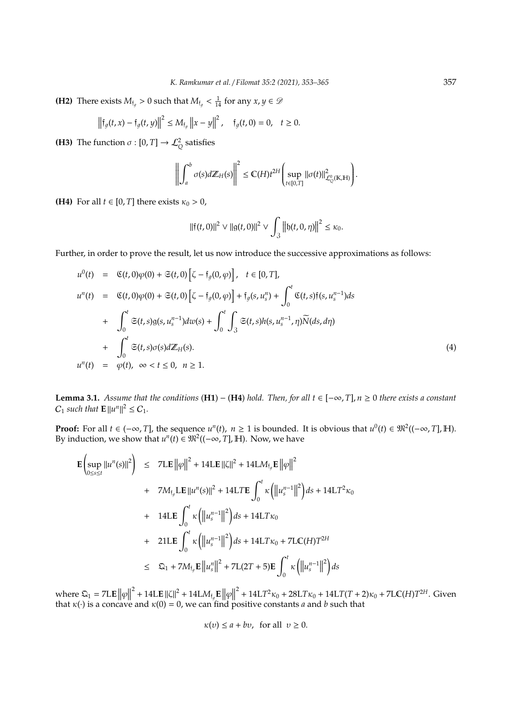**(H2)** There exists  $M_{\text{f}_g} > 0$  such that  $M_{\text{f}_g} < \frac{1}{14}$  for any  $x, y \in \mathcal{D}$ 

$$
\left\|\mathfrak{f}_{g}(t,x)-\mathfrak{f}_{g}(t,y)\right\|^{2} \leq M_{\mathfrak{f}_{g}}\left\|x-y\right\|^{2}, \quad \mathfrak{f}_{g}(t,0)=0, \quad t \geq 0.
$$

**(H3)** The function  $\sigma$  :  $[0, T] \rightarrow \mathcal{L}_Q^2$  satisfies

$$
\left\| \int_a^b \sigma(s) d\mathbb{Z}_H(s) \right\|^2 \leq C(H) t^{2H} \left( \sup_{t \in [0,T]} \left\| \sigma(t) \right\|_{\mathcal{L}_Q^0(\mathbb{K},\mathbb{H})}^2 \right)
$$

.

**(H4)** For all  $t \in [0, T]$  there exists  $\kappa_0 > 0$ ,

 $\overline{a}$ 

$$
\|\mathfrak{f}(t,0)\|^2 \vee \|g(t,0)\|^2 \vee \int_{\mathfrak{Z}} \left\| \mathfrak{h}(t,0,\eta) \right\|^2 \leq \kappa_0.
$$

Further, in order to prove the result, let us now introduce the successive approximations as follows:

$$
u^{0}(t) = \mathfrak{C}(t,0)\varphi(0) + \mathfrak{S}(t,0) \left[\zeta - \mathfrak{f}_{g}(0,\varphi)\right], \quad t \in [0,T],
$$
  
\n
$$
u^{n}(t) = \mathfrak{C}(t,0)\varphi(0) + \mathfrak{S}(t,0) \left[\zeta - \mathfrak{f}_{g}(0,\varphi)\right] + \mathfrak{f}_{g}(s,u_{s}^{n}) + \int_{0}^{t} \mathfrak{C}(t,s)\mathfrak{f}(s,u_{s}^{n-1})ds
$$
  
\n
$$
+ \int_{0}^{t} \mathfrak{S}(t,s)g(s,u_{s}^{n-1})dw(s) + \int_{0}^{t} \int_{3} \mathfrak{S}(t,s)h(s,u_{s}^{n-1},\eta)\widetilde{N}(ds,d\eta)
$$
  
\n
$$
+ \int_{0}^{t} \mathfrak{S}(t,s)\sigma(s)d\mathbb{Z}_{H}(s).
$$
  
\n
$$
u^{n}(t) = \varphi(t), \quad \infty < t \le 0, \quad n \ge 1.
$$
  
\n(4)

**Lemma 3.1.** *Assume that the conditions* (**H1**) − (**H4**) *hold. Then, for all t* ∈ [−∞, *T*], *n* ≥ 0 *there exists a constant*  $C_1$  *such that*  $\mathbf{E} ||u^n||^2 \leq C_1$ *.* 

**Proof:** For all *t* ∈ (−∞, *T*], the sequence *u<sup>n</sup>*(*t*), *n* ≥ 1 is bounded. It is obvious that *u*<sup>0</sup>(*t*) ∈  $\mathfrak{M}^2((-\infty, T], \mathbb{H})$ . By induction, we show that  $u^n(t) \in \mathfrak{M}^2((-\infty, T], \mathbb{H})$ . Now, we have

$$
\mathbf{E}\left(\sup_{0\leq s\leq t}||u^{n}(s)||^{2}\right) \leq 7\mathbf{LE}\left||\varphi\right||^{2} + 14\mathbf{LE}\left||\zeta\right||^{2} + 14\mathbf{LM}_{\mathfrak{f}_{g}}\mathbf{E}\left||\varphi\right||^{2} \n+ 7M_{\mathfrak{f}_{g}}\mathbf{LE}\left||u^{n}(s)||^{2} + 14\mathbf{L}T\mathbf{E}\int_{0}^{t} \kappa\left(\left||u_{s}^{n-1}\right||^{2}\right)ds + 14\mathbf{LT}^{2}\kappa_{0} \n+ 14\mathbf{LE}\int_{0}^{t} \kappa\left(\left||u_{s}^{n-1}\right||^{2}\right)ds + 14\mathbf{LT}\kappa_{0} \n+ 21\mathbf{LE}\int_{0}^{t} \kappa\left(\left||u_{s}^{n-1}\right||^{2}\right)ds + 14\mathbf{LT}\kappa_{0} + 7\mathbf{LC}(H)T^{2H} \n\leq \mathfrak{Q}_{1} + 7M_{\mathfrak{f}_{g}}\mathbf{E}\left||u_{s}^{n}\right||^{2} + 7\mathbf{L}(2T + 5)\mathbf{E}\int_{0}^{t} \kappa\left(\left||u_{s}^{n-1}\right||^{2}\right)ds
$$

where  $\mathfrak{Q}_1 = 7LE ||\varphi||$ <sup>2</sup> + 14L**E**  $\|\zeta\|^2$  + 14L*M*<sub>fg</sub>**E**  $\|\varphi\|$ <sup>2</sup> + 14L*T*<sup>2</sup>κ<sub>0</sub> + 28L*T*κ<sub>0</sub> + 14L*T*(*T* + 2)κ<sub>0</sub> + 7L**C**(*H*)*T*<sup>2*H*</sup>. Given that  $\kappa(\cdot)$  is a concave and  $\kappa(0) = 0$ , we can find positive constants *a* and *b* such that

$$
\kappa(v) \le a + bv, \text{ for all } v \ge 0.
$$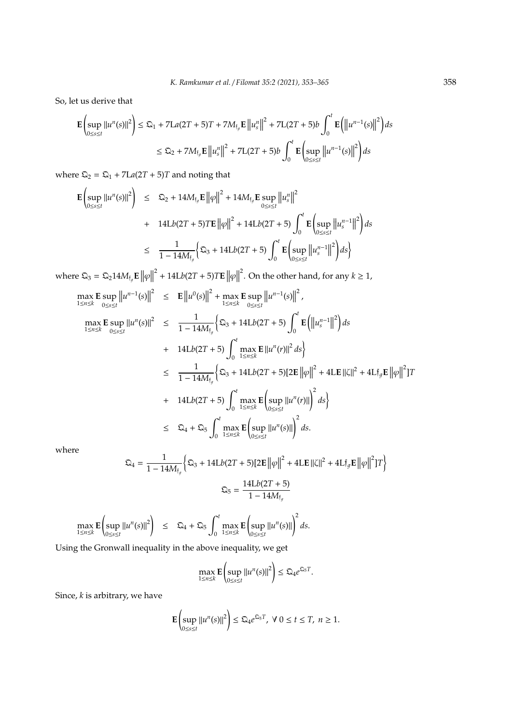So, let us derive that

$$
\mathbf{E}\left(\sup_{0\leq s\leq t}||u^{n}(s)||^{2}\right) \leq \mathfrak{Q}_{1} + 7\mathbf{L}a(2T + 5)T + 7M_{\mathfrak{f}_{g}}\mathbf{E}\left||u_{s}^{n}|\right|^{2} + 7\mathbf{L}(2T + 5)b\int_{0}^{t}\mathbf{E}\left(\left||u^{n-1}(s)\right||^{2}\right)ds
$$
  

$$
\leq \mathfrak{Q}_{2} + 7M_{\mathfrak{f}_{g}}\mathbf{E}\left||u_{s}^{n}|\right|^{2} + 7\mathbf{L}(2T + 5)b\int_{0}^{t}\mathbf{E}\left(\sup_{0\leq s\leq t}\left||u^{n-1}(s)\right||^{2}\right)ds
$$

where  $\mathfrak{Q}_2 = \mathfrak{Q}_1 + 7La(2T + 5)T$  and noting that

$$
\mathbf{E}\left(\sup_{0\leq s\leq t}||u^{n}(s)||^{2}\right) \leq \mathfrak{Q}_{2} + 14M_{\mathfrak{f}_{g}}\mathbf{E}\left\|\varphi\right\|^{2} + 14M_{\mathfrak{f}_{g}}\mathbf{E}\sup_{0\leq s\leq t}\left\|u_{s}^{n}\right\|^{2} + 14Lb(2T+5)T\mathbf{E}\left\|\varphi\right\|^{2} + 14Lb(2T+5)\int_{0}^{t}\mathbf{E}\left(\sup_{0\leq s\leq t}\left\|u_{s}^{n-1}\right\|^{2}\right)ds
$$
  

$$
\leq \frac{1}{1-14M_{\mathfrak{f}_{g}}}\left\{\mathfrak{Q}_{3} + 14Lb(2T+5)\int_{0}^{t}\mathbf{E}\left(\sup_{0\leq s\leq t}\left\|u_{s}^{n-1}\right\|^{2}\right)ds\right\}
$$

where  $\mathfrak{Q}_3 = \mathfrak{Q}_2 14 M_{\mathfrak{f}_g} \mathbf{E} \left\| \varphi \right\|$ <sup>2</sup> + 14Lb(2T + 5)T**E**  $||\varphi||$ <sup>2</sup>. On the other hand, for any  $k \geq 1$ ,

$$
\max_{1 \le n \le k} \mathbf{E} \sup_{0 \le s \le t} ||u^{n-1}(s)||^2 \le \mathbf{E} ||u^0(s)||^2 + \max_{1 \le n \le k} \mathbf{E} \sup_{0 \le s \le t} ||u^{n-1}(s)||^2,
$$
\n
$$
\max_{1 \le n \le k} \mathbf{E} \sup_{0 \le s \le t} ||u^n(s)||^2 \le \frac{1}{1 - 14M_{\mathfrak{f}_g}} \Big\{ \mathfrak{Q}_3 + 14\mathcal{L}b(2T + 5) \int_0^t \mathbf{E} \Big( ||u_s^{n-1}||^2 \Big) ds
$$
\n
$$
+ 14\mathcal{L}b(2T + 5) \int_0^t \max_{1 \le n \le k} \mathbf{E} ||u^n(r)||^2 ds \Big\}
$$
\n
$$
\le \frac{1}{1 - 14M_{\mathfrak{f}_g}} \Big\{ \mathfrak{Q}_3 + 14\mathcal{L}b(2T + 5)[2\mathbf{E} ||\varphi||^2 + 4\mathcal{L}\mathbf{E} ||\zeta||^2 + 4\mathcal{L}\mathfrak{f}_g \mathbf{E} ||\varphi||^2 ]T
$$
\n
$$
+ 14\mathcal{L}b(2T + 5) \int_0^t \max_{1 \le n \le k} \mathbf{E} \Big( \sup_{0 \le s \le t} ||u^n(r)|| \Big)^2 ds \Big\}
$$
\n
$$
\le \mathfrak{Q}_4 + \mathfrak{Q}_5 \int_0^t \max_{1 \le n \le k} \mathbf{E} \Big( \sup_{0 \le s \le t} ||u^n(s)|| \Big)^2 ds.
$$

where

$$
\mathfrak{Q}_4 = \frac{1}{1 - 14M_{\mathfrak{f}_g}} \Big\{ \mathfrak{Q}_3 + 14Lb(2T + 5)[2\mathbf{E} ||\varphi||^2 + 4L\mathbf{E} ||\zeta||^2 + 4L\mathfrak{f}_g \mathbf{E} ||\varphi||^2]T \Big\}
$$

$$
\mathfrak{Q}_5 = \frac{14Lb(2T + 5)}{1 - 14M_{\mathfrak{f}_g}}
$$

$$
\max_{1\leq n\leq k}\mathbf{E}\left(\sup_{0\leq s\leq t}\left|\left|u^{n}(s)\right|\right|^{2}\right) \leq \mathfrak{Q}_{4}+\mathfrak{Q}_{5}\int_{0}^{t}\max_{1\leq n\leq k}\mathbf{E}\left(\sup_{0\leq s\leq t}\left|\left|u^{n}(s)\right|\right|\right)^{2}ds.
$$

Using the Gronwall inequality in the above inequality, we get

$$
\max_{1 \le n \le k} \mathbf{E} \left( \sup_{0 \le s \le t} ||u^n(s)||^2 \right) \le \mathfrak{Q}_4 e^{\mathfrak{Q}_5 T}.
$$

 $\mathcal{L}$ 

Since, *k* is arbitrary, we have

$$
\mathbf{E}\left(\sup_{0\leq s\leq t}||u^{n}(s)||^{2}\right)\leq \mathfrak{Q}_{4}e^{\mathfrak{Q}_{5}T},\ \forall\ 0\leq t\leq T,\ n\geq 1.
$$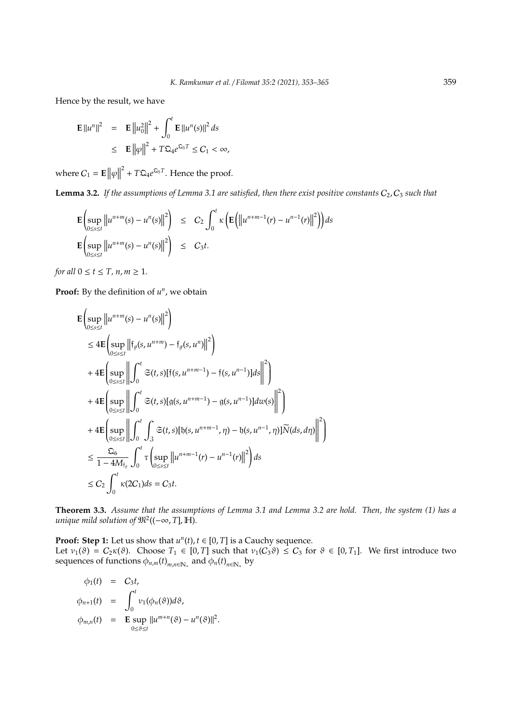Hence by the result, we have

$$
\mathbf{E} ||u^n||^2 = \mathbf{E} ||u_0||^2 + \int_0^t \mathbf{E} ||u^n(s)||^2 ds
$$
  

$$
\leq \mathbf{E} ||\varphi||^2 + T \mathbf{E}_4 e^{\mathbf{E}_5 T} \leq C_1 < \infty,
$$

where  $C_1 = \mathbf{E} \|\varphi\|$  $T^2 + T\mathfrak{Q}_4 e^{\mathfrak{Q}_5 T}$ . Hence the proof.

**Lemma 3.2.** *If the assumptions of Lemma 3.1 are satisfied, then there exist positive constants*  $C_2$ ,  $C_3$  *such that* 

$$
\mathbf{E}\left(\sup_{0\leq s\leq t}\left\|u^{n+m}(s)-u^{n}(s)\right\|^{2}\right) \leq C_{2}\int_{0}^{t}\kappa\left(\mathbf{E}\left(\left\|u^{n+m-1}(r)-u^{n-1}(r)\right\|^{2}\right)\right)ds
$$

$$
\mathbf{E}\left(\sup_{0\leq s\leq t}\left\|u^{n+m}(s)-u^{n}(s)\right\|^{2}\right) \leq C_{3}t.
$$

*for all*  $0 \le t \le T$ ,  $n, m \ge 1$ .

**Proof:** By the definition of  $u^n$ , we obtain

$$
\mathbf{E}\left(\sup_{0\leq s\leq t}\left||u^{n+m}(s)-u^{n}(s)||^{2}\right|\right) \n\leq 4\mathbf{E}\left(\sup_{0\leq s\leq t}\left\|\left[f_{g}(s,u^{n+m})-\left[f_{g}(s,u^{n})||^{2}\right]\right|\right) \n+4\mathbf{E}\left(\sup_{0\leq s\leq t}\left\|\int_{0}^{t}\mathfrak{S}(t,s)[f(s,u^{n+m-1})-f(s,u^{n-1})]ds\right\|^{2}\right) \n+4\mathbf{E}\left(\sup_{0\leq s\leq t}\left\|\int_{0}^{t}\mathfrak{S}(t,s)[g(s,u^{n+m-1})-g(s,u^{n-1})]dw(s)\right\|^{2}\right) \n+4\mathbf{E}\left(\sup_{0\leq s\leq t}\left\|\int_{0}^{t}\int_{3}\mathfrak{S}(t,s)[b(s,u^{n+m-1},\eta)-b(s,u^{n-1},\eta)]\widetilde{N}(ds,d\eta)\right\|^{2}\right) \n\leq \frac{\mathfrak{Q}_{6}}{1-4M_{\mathfrak{f}_{g}}}\int_{0}^{t}\tau\left(\sup_{0\leq s\leq t}\left\|u^{n+m-1}(r)-u^{n-1}(r)\right\|^{2}\right) ds \n\leq C_{2}\int_{0}^{t}\kappa(2C_{1})ds = C_{3}t.
$$

**Theorem 3.3.** *Assume that the assumptions of Lemma 3.1 and Lemma 3.2 are hold. Then, the system (1) has a unique mild solution of*  $\mathfrak{M}^2((-\infty,T], \mathbb{H})$ *.* 

**Proof: Step 1:** Let us show that  $u^n(t)$ ,  $t \in [0, T]$  is a Cauchy sequence.

Let  $v_1(\vartheta) = C_2 \kappa(\vartheta)$ . Choose  $T_1 \in [0, T]$  such that  $v_1(C_3 \vartheta) \leq C_3$  for  $\vartheta \in [0, T_1]$ . We first introduce two sequences of functions  $\phi_{n,m}(t)_{m,n\in\mathbb{N}_+}$  and  $\phi_n(t)_{n\in\mathbb{N}_+}$  by

.

$$
\begin{array}{rcl}\n\phi_1(t) & = & C_3t, \\
\phi_{n+1}(t) & = & \int_0^t \nu_1(\phi_n(\vartheta))d\vartheta, \\
\phi_{m,n}(t) & = & \mathbf{E} \sup_{0 \le \vartheta \le t} ||u^{m+n}(\vartheta) - u^n(\vartheta)||^2\n\end{array}
$$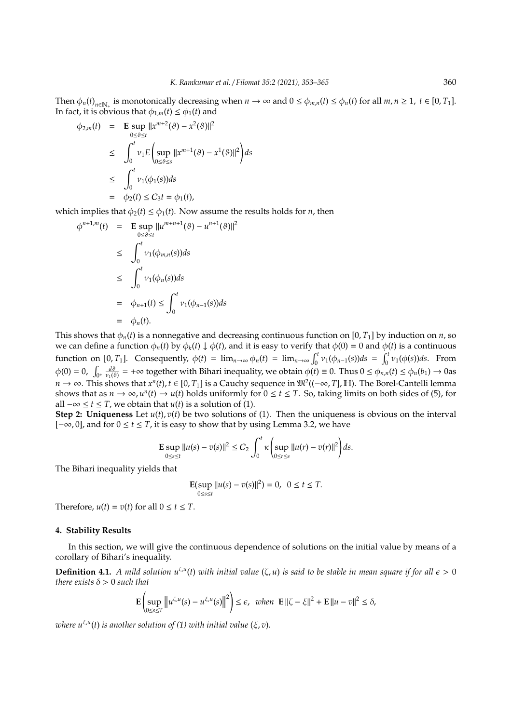Then  $\phi_n(t)_{n \in \mathbb{N}_+}$  is monotonically decreasing when  $n \to \infty$  and  $0 \le \phi_{m,n}(t) \le \phi_n(t)$  for all  $m, n \ge 1$ ,  $t \in [0, T_1]$ . In fact, it is obvious that  $\phi_{1,m}(t) \leq \phi_1(t)$  and

$$
\begin{array}{rcl}\n\phi_{2,m}(t) & = & \mathbf{E} \sup_{0 \le \vartheta \le t} ||x^{m+2}(\vartheta) - x^2(\vartheta)||^2 \\
& \le & \int_0^t \nu_1 E\left(\sup_{0 \le \vartheta \le s} ||x^{m+1}(\vartheta) - x^1(\vartheta)||^2\right) ds \\
& \le & \int_0^t \nu_1(\phi_1(s)) ds \\
& = & \phi_2(t) \le C_3 t = \phi_1(t),\n\end{array}
$$

which implies that  $\phi_2(t) \leq \phi_1(t)$ . Now assume the results holds for *n*, then

$$
\begin{array}{rcl}\n\phi^{n+1,m}(t) & = & \mathbf{E} \sup_{0 \le \vartheta \le t} ||u^{m+n+1}(\vartheta) - u^{n+1}(\vartheta)||^2 \\
& \le \int_0^t v_1(\phi_{m,n}(s))ds \\
& \le \int_0^t v_1(\phi_n(s))ds \\
& = & \phi_{n+1}(t) \le \int_0^t v_1(\phi_{n-1}(s))ds \\
& = & \phi_n(t).\n\end{array}
$$

This shows that  $\phi_n(t)$  is a nonnegative and decreasing continuous function on [0, *T*<sub>1</sub>] by induction on *n*, so we can define a function  $\phi_n(t)$  by  $\phi_k(t) \downarrow \phi(t)$ , and it is easy to verify that  $\phi(0) = 0$  and  $\phi(t)$  is a continuous function on [0, *T*<sub>1</sub>]. Consequently,  $\phi(t) = \lim_{n \to \infty} \phi_n(t) = \lim_{n \to \infty} \int_0^t v_1(\phi_{n-1}(s))ds = \int_0^t v_1(\phi(s))ds$ . From  $\phi(0) = 0$ ,  $\int_{0^+} \frac{d\vartheta}{\nu_1(\vartheta)} = +\infty$  together with Bihari inequality, we obtain  $\phi(t) \equiv 0$ . Thus  $0 \le \phi_{n,n}(t) \le \phi_n(b_1) \to 0$ as *n* → ∞. This shows that  $x^n(t)$ ,  $t \in [0, T_1]$  is a Cauchy sequence in  $\mathfrak{M}^2((-\infty, T], \mathbb{H})$ . The Borel-Cantelli lemma shows that as  $n \to \infty$ ,  $u^n(t) \to u(t)$  holds uniformly for  $0 \le t \le T$ . So, taking limits on both sides of (5), for all  $-\infty$  ≤ *t* ≤ *T*, we obtain that *u*(*t*) is a solution of (1).

**Step 2: Uniqueness** Let  $u(t)$ ,  $v(t)$  be two solutions of (1). Then the uniqueness is obvious on the interval [−∞, 0], and for 0 ≤ *t* ≤ *T*, it is easy to show that by using Lemma 3.2, we have

**E** sup 
$$
||u(s) - v(s)||^2 \le C_2 \int_0^t \kappa \left( \sup_{0 \le r \le s} ||u(r) - v(r)||^2 \right) ds
$$
.

The Bihari inequality yields that

$$
\mathbf{E}(\sup_{0\le s\le t}||u(s)-v(s)||^2) = 0, \ \ 0 \le t \le T.
$$

Therefore,  $u(t) = v(t)$  for all  $0 \le t \le T$ .

## **4. Stability Results**

In this section, we will give the continuous dependence of solutions on the initial value by means of a corollary of Bihari's inequality.

**Definition 4.1.** A mild solution  $u^{\zeta,u}(t)$  with initial value  $(\zeta, u)$  is said to be stable in mean square if for all  $\epsilon > 0$ *there exists*  $\delta > 0$  *such that* 

$$
\mathbf{E}\left(\sup_{0\leq s\leq T}\left\|u^{\zeta,u}(s)-u^{\xi,u}(s)\right\|^2\right)\leq \epsilon,\ \text{ when }\ \mathbf{E}\left\|\zeta-\xi\right\|^2+\mathbf{E}\left\|u-v\right\|^2\leq \delta,
$$

 $\nu$ here  $u^{\xi,u}(t)$  is another solution of (1) with initial value (ξ, v).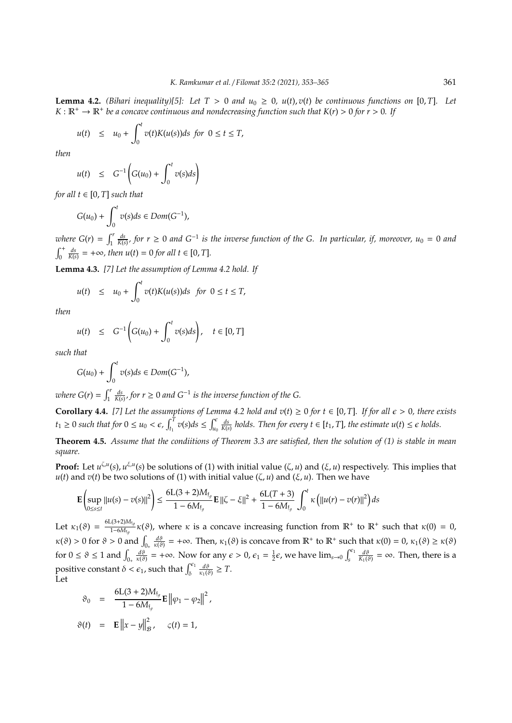**Lemma 4.2.** *(Bihari inequality)*[5]: Let  $T > 0$  and  $u_0 \ge 0$ ,  $u(t)$ ,  $v(t)$  be continuous functions on [0, *T*]. Let  $K : \mathbb{R}^+ \to \mathbb{R}^+$  be a concave continuous and nondecreasing function such that  $K(r) > 0$  for  $r > 0$ . If

$$
u(t) \leq u_0 + \int_0^t v(t)K(u(s))ds \text{ for } 0 \leq t \leq T,
$$

*then*

$$
u(t) \leq G^{-1}\left(G(u_0) + \int_0^t v(s)ds\right)
$$

*for all*  $t \in [0, T]$  *such that* 

$$
G(u_0) + \int_0^t v(s)ds \in Dom(G^{-1}),
$$

*where*  $G(r) = \int_1^r$  $\frac{ds}{K(s)}$ , for *r* ≥ 0 *and* G<sup>−1</sup> is the inverse function of the G. In particular, if, moreover, u<sub>0</sub> = 0 *and*  $\int_0^+$  $\frac{ds}{K(s)}$  = +∞*, then u*(*t*) = 0 *for all t* ∈ [0, *T*].

**Lemma 4.3.** *[7] Let the assumption of Lemma 4.2 hold. If*

$$
u(t) \leq u_0 + \int_0^t v(t)K(u(s))ds \text{ for } 0 \leq t \leq T,
$$

*then*

$$
u(t) \leq G^{-1}\bigg(G(u_0) + \int_0^t v(s)ds\bigg), \quad t \in [0, T]
$$

*such that*

$$
G(u_0) + \int_0^t v(s)ds \in Dom(G^{-1}),
$$

*where*  $G(r) = \int_1^r$  $\frac{ds}{K(s)}$ , for *r* ≥ 0 *and* G<sup>−1</sup> *is the inverse function of the G.* 

**Corollary 4.4.** [7] Let the assumptions of Lemma 4.2 hold and  $v(t) \ge 0$  for  $t \in [0, T]$ . If for all  $\epsilon > 0$ , there exists  $t_1 \geq 0$  *such that for*  $0 \leq u_0 < \epsilon$ ,  $\int_{t_1}^T v(s) ds \leq \int_{u_0}^{\epsilon} v(s) ds$  $\frac{ds}{K(s)}$  holds. Then for every  $t \in [t_1, T]$ , the estimate  $u(t) \leq \epsilon$  holds.

**Theorem 4.5.** *Assume that the condiitions of Theorem 3.3 are satisfied, then the solution of (1) is stable in mean square.*

**Proof:** Let  $u^{\zeta,u}(s)$ ,  $u^{\zeta,u}(s)$  be solutions of (1) with initial value  $(\zeta, u)$  and  $(\xi, u)$  respectively. This implies that *u*(*t*) and *v*(*t*) be two solutions of (1) with initial value (ζ, *u*) and (ξ, *u*). Then we have

$$
\mathbf{E}\left(\sup_{0\leq s\leq t}\|u(s)-v(s)\|^2\right)\leq \frac{6L(3+2)M_{\mathfrak{f}_g}}{1-6M_{\mathfrak{f}_g}}\mathbf{E}\left\|\zeta-\xi\right\|^2+\frac{6L(T+3)}{1-6M_{\mathfrak{f}_g}}\int_0^t\kappa\left(\|u(r)-v(r)\|^2\right)ds
$$

Let  $\kappa_1(\vartheta) = \frac{6L(3+2)M_{\text{f}}}{1-6M_{\text{f}}}}$  $\frac{1}{1-6M_{\rm 1g}}$  κ(θ), where κ is a concave increasing function from  $\mathbb{R}^+$  to  $\mathbb{R}^+$  such that κ(0) = 0,  $\kappa(\vartheta) > 0$  for  $\vartheta > 0$  and  $\int_{0_+}$  $\frac{d\vartheta}{\kappa(\vartheta)}$  = +∞. Then,  $\kappa_1(\vartheta)$  is concave from  $\mathbb{R}^+$  to  $\mathbb{R}^+$  such that  $\kappa(0) = 0$ ,  $\kappa_1(\vartheta) \geq \kappa(\vartheta)$ for  $0 \le \vartheta \le 1$  and  $\int_{0_+}$  $\frac{d\vartheta}{\kappa(\vartheta)} = +\infty$ . Now for any  $\epsilon > 0$ ,  $\epsilon_1 = \frac{1}{2}\epsilon$ , we have  $\lim_{s\to 0} \int_s^{\epsilon_1}$  $\frac{d\vartheta}{K_1(\vartheta)} = \infty$ . Then, there is a positive constant  $\delta < \epsilon_1$ , such that  $\int_{\delta}^{\epsilon_1}$  $\frac{d\vartheta}{\kappa_1(\vartheta)} \geq T.$ Let

$$
\vartheta_0 = \frac{6L(3+2)M_{\mathfrak{f}_g}}{1 - 6M_{\mathfrak{f}_g}} \mathbf{E} ||\varphi_1 - \varphi_2||^2,
$$
  

$$
\vartheta(t) = \mathbf{E} ||x - y||_B^2, \quad \varsigma(t) = 1,
$$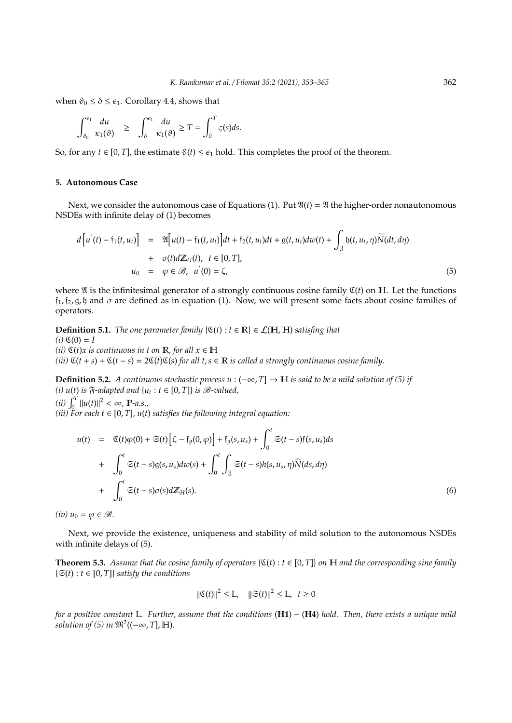when  $\vartheta_0 \leq \delta \leq \epsilon_1$ . Corollary 4.4, shows that

$$
\int_{\vartheta_0}^{\epsilon_1} \frac{du}{\kappa_1(\vartheta)} \ge \int_{\delta}^{\epsilon_1} \frac{du}{\kappa_1(\vartheta)} \ge T = \int_0^T \varsigma(s) ds.
$$

So, for any  $t \in [0, T]$ , the estimate  $\vartheta(t) \leq \epsilon_1$  hold. This completes the proof of the theorem.

# **5. Autonomous Case**

Next, we consider the autonomous case of Equations (1). Put  $\mathfrak{A}(t) = \mathfrak{A}$  the higher-order nonautonomous NSDEs with infinite delay of (1) becomes

$$
d\left[u^{'}(t) - \tilde{t}_{1}(t, u_{t})\right] = \mathfrak{A}\left[u(t) - \tilde{t}_{1}(t, u_{t})\right]dt + \tilde{t}_{2}(t, u_{t})dt + \mathfrak{g}(t, u_{t})d\omega(t) + \int_{3} \mathfrak{h}(t, u_{t}, \eta)\widetilde{N}(dt, d\eta) + \sigma(t)d\mathbb{Z}_{H}(t), \quad t \in [0, T],
$$
  
\n
$$
u_{0} = \varphi \in \mathcal{B}, \quad u^{'}(0) = \zeta,
$$
\n(5)

where  $\mathfrak A$  is the infinitesimal generator of a strongly continuous cosine family  $\mathfrak C(t)$  on  $\mathbb H$ . Let the functions  $f_1$ ,  $f_2$ ,  $g$ ,  $b$  and  $\sigma$  are defined as in equation (1). Now, we will present some facts about cosine families of operators.

**Definition 5.1.** *The one parameter family*  $\{C(t): t \in \mathbb{R}\}\in \mathcal{L}(\mathbb{H}, \mathbb{H})$  *satisfing that*  $(i)$   $\mathfrak{C}(0) = I$ *(ii)*  $\mathfrak{C}(t)x$  *is continuous in t on*  $\mathbb{R}$ *, for all*  $x \in \mathbb{H}$  $(iii)$   $\mathfrak{C}(t + s) + \mathfrak{C}(t - s) = 2\mathfrak{C}(t)\mathfrak{C}(s)$  *for all t*, *s* ∈ **R** *is called a strongly continuous cosine family.* 

**Definition 5.2.** *A continuous stochastic process u* :  $(-∞, T]$  →  $H$  *is said to be a mild solution of (5) if (i)*  $u(t)$  *is*  $\mathfrak{F}$ *-adapted and*  $\{u_t : t \in [0, T]\}$  *is*  $\mathscr{B}$ *-valued*,  $\lim_{t \to \infty} \int_{0}^{T} ||u(t)||^{2} < \infty$ , **P**-a.s.,

 $(iii)$  For each  $t \in [0, T]$ ,  $u(t)$  satisfies the following integral equation:

$$
u(t) = \mathfrak{C}(t)\varphi(0) + \mathfrak{S}(t)\left[\zeta - \mathfrak{f}_{g}(0,\varphi)\right] + \mathfrak{f}_{g}(s,u_{s}) + \int_{0}^{t} \mathfrak{S}(t-s)\mathfrak{f}(s,u_{s})ds
$$
  
+ 
$$
\int_{0}^{t} \mathfrak{S}(t-s)\mathfrak{g}(s,u_{s})dw(s) + \int_{0}^{t} \int_{3} \mathfrak{S}(t-s)h(s,u_{s},\eta)\widetilde{N}(ds,d\eta)
$$
  
+ 
$$
\int_{0}^{t} \mathfrak{S}(t-s)\sigma(s)d\mathbb{Z}_{H}(s).
$$
 (6)

 $(iv)$   $u_0 = \varphi \in \mathcal{B}$ .

Next, we provide the existence, uniqueness and stability of mild solution to the autonomous NSDEs with infinite delays of (5).

**Theorem 5.3.** *Assume that the cosine family of operators*  $\{C(t): t \in [0, T]\}$  *on* H *and the corresponding sine family*  $\{\mathfrak{S}(t): t \in [0, T]\}$  *satisfy the conditions* 

$$
\|\mathfrak{C}(t)\|^2 \le \mathcal{L}, \quad \|\mathfrak{S}(t)\|^2 \le \mathcal{L}, \quad t \ge 0
$$

*for a positive constant* L*. Further, assume that the conditions* (**H1**) − (**H4**) *hold. Then, there exists a unique mild* solution of (5) in  $\mathfrak{M}^2((-\infty,T], \mathbb{H})$ .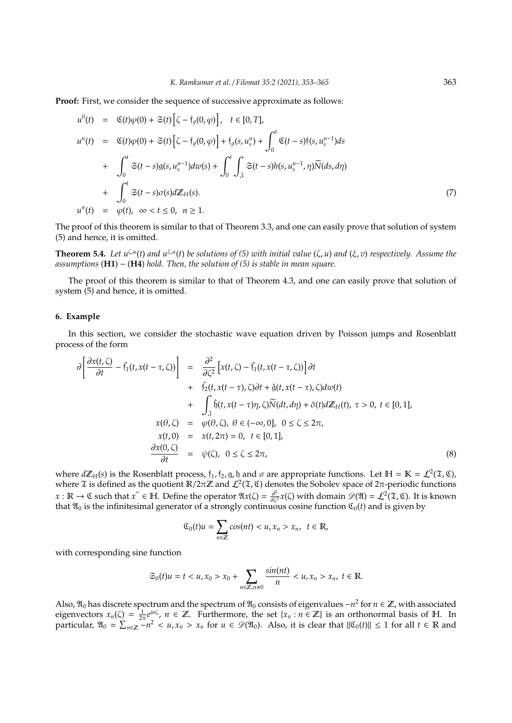**Proof:** First, we consider the sequence of successive approximate as follows:

$$
u^{0}(t) = \mathfrak{C}(t)\varphi(0) + \mathfrak{S}(t)\left[\zeta - \mathfrak{f}_{g}(0,\varphi)\right], \quad t \in [0, T],
$$
  
\n
$$
u^{n}(t) = \mathfrak{C}(t)\varphi(0) + \mathfrak{S}(t)\left[\zeta - \mathfrak{f}_{g}(0,\varphi)\right] + \mathfrak{f}_{g}(s, u_{s}^{n}) + \int_{0}^{t} \mathfrak{C}(t-s)\mathfrak{f}(s, u_{s}^{n-1})ds
$$
  
\n
$$
+ \int_{0}^{t} \mathfrak{S}(t-s)g(s, u_{s}^{n-1})dw(s) + \int_{0}^{t} \int_{3} \mathfrak{S}(t-s)h(s, u_{s}^{n-1}, \eta)\widetilde{N}(ds, d\eta)
$$
  
\n
$$
+ \int_{0}^{t} \mathfrak{S}(t-s)\sigma(s)d\mathbb{Z}_{H}(s).
$$
  
\n
$$
u^{n}(t) = \varphi(t), \quad \infty < t \le 0, \quad n \ge 1.
$$
  
\n(7)

The proof of this theorem is similar to that of Theorem 3.3, and one can easily prove that solution of system (5) and hence, it is omitted.

**Theorem 5.4.** Let  $u^{\zeta,u}(t)$  and  $u^{\zeta,u}(t)$  be solutions of (5) with initial value  $(\zeta, u)$  and  $(\xi, v)$  respectively. Assume the *assumptions* (**H1**) − (**H4**) *hold. Then, the solution of (5) is stable in mean square.*

The proof of this theorem is similar to that of Theorem 4.3, and one can easily prove that solution of system (5) and hence, it is omitted.

# **6. Example**

In this section, we consider the stochastic wave equation driven by Poisson jumps and Rosenblatt process of the form

$$
\partial \left[ \frac{\partial x(t,\zeta)}{\partial t} - \hat{f}_1(t,x(t-\tau,\zeta)) \right] = \frac{\partial^2}{\partial \zeta^2} \left[ x(t,\zeta) - \hat{f}_1(t,x(t-\tau,\zeta)) \right] \partial t \n+ \hat{f}_2(t,x(t-\tau),\zeta) \partial t + \hat{g}(t,x(t-\tau),\zeta) dw(t) \n+ \int_3 \hat{b}(t,x(t-\tau)\eta,\zeta) \overline{N}(dt,d\eta) + \hat{\sigma}(t) dZ_H(t), \ \tau > 0, \ t \in [0,1],
$$
\n
$$
x(\theta,\zeta) = \varphi(\theta,\zeta), \ \theta \in (-\infty,0], \ 0 \le \zeta \le 2\pi,
$$
\n
$$
x(t,0) = x(t,2\pi) = 0, \ t \in [0,1],
$$
\n
$$
\frac{\partial x(0,\zeta)}{\partial t} = \psi(\zeta), \ 0 \le \zeta \le 2\pi,
$$
\n(8)

where  $d\mathbb{Z}_H(s)$  is the Rosenblatt process,  $f_1$ ,  $f_2$ ,  $g$ ,  $b$  and  $\sigma$  are appropriate functions. Let  $\mathbb{H} = \mathbb{K} = \mathcal{L}^2(\mathfrak{T}, \mathfrak{C})$ , where  $\mathfrak X$  is defined as the quotient  $\mathbb R/2\pi\mathbb Z$  and  $\mathcal L^2(\mathfrak X,\mathfrak C)$  denotes the Sobolev space of  $2\pi$ -periodic functions  $x : \mathbb{R} \to \mathbb{C}$  such that  $x'' \in \mathbb{H}$ . Define the operator  $\mathfrak{A}(\zeta) = \frac{\partial^2}{\partial \zeta^2} x(\zeta)$  with domain  $\mathscr{D}(\mathfrak{A}) = \mathcal{L}^2(\mathfrak{X}, \mathfrak{C})$ . It is known that  $\mathfrak{A}_0$  is the infinitesimal generator of a strongly continuous cosine function  $\mathfrak{C}_0(t)$  and is given by

$$
\mathfrak{C}_0(t)u=\sum_{n\in\mathbb{Z}}\cos(nt)x_n,\ \ t\in\mathbb{R},
$$

with corresponding sine function

$$
\mathfrak{S}_0(t)u = t < u, x_0 > x_0 + \sum_{n \in \mathbb{Z}, n \neq 0} \frac{\sin(nt)}{n} < u, x_n > x_n, \ t \in \mathbb{R}.
$$

Also,  $\mathfrak{A}_0$  has discrete spectrum and the spectrum of  $\mathfrak{A}_0$  consists of eigenvalues  $-n^2$  for *n* ∈ ℤ, with associated eigenvectors  $x_n(\zeta) = \frac{1}{2\pi}e^{in\zeta}$ ,  $n \in \mathbb{Z}$ . Furthermore, the set  $\{x_n : n \in \mathbb{Z}\}\)$  is an orthonormal basis of H. In  $\text{particular, } \mathfrak{A}_0 = \sum_{n \in \mathbb{Z}} -n^2 < u, x_n > x_n \text{ for } u \in \mathcal{D}(\mathfrak{A}_0).$  Also, it is clear that  $\|\mathfrak{C}_0(t)\| \leq 1$  for all  $t \in \mathbb{R}$  and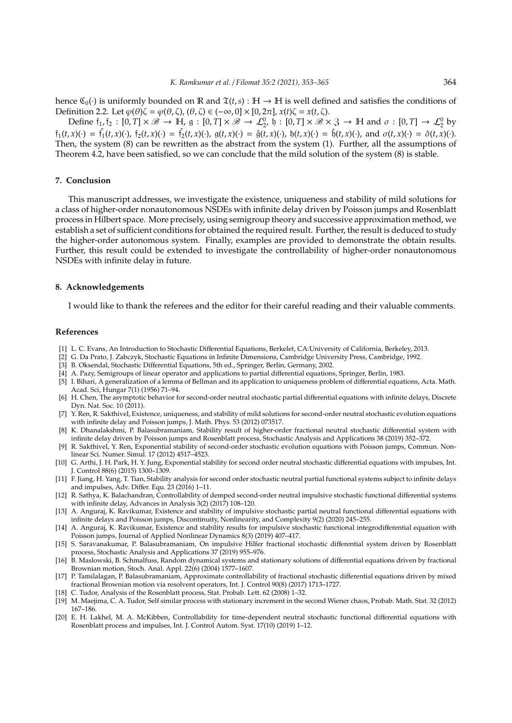hence  $\mathfrak{C}_0(\cdot)$  is uniformly bounded on R and  $\mathfrak{T}(t,s): \mathbb{H} \to \mathbb{H}$  is well defined and satisfies the conditions of Definition 2.2. Let  $\varphi(\theta)\zeta = \varphi(\theta,\zeta), (\theta,\zeta) \in (-\infty,0] \times [0,2\pi], x(t)\zeta = x(t,\zeta).$ 

Define  $f_1, f_2 : [0, T] \times \mathscr{B} \to \mathbb{H}$ ,  $g : [0, T] \times \mathscr{B} \to \mathcal{L}_2^0$ ,  $\mathfrak{h} : [0, T] \times \mathscr{B} \times 3 \to \mathbb{H}$  and  $\sigma : [0, T] \to \mathcal{L}_2^0$  by  $f_1(t,x)(\cdot) = f_1(t,x)(\cdot)$ ,  $f_2(t,x)(\cdot) = f_2(t,x)(\cdot)$ ,  $g(t,x)(\cdot) = \hat{g}(t,x)(\cdot)$ ,  $b(t,x)(\cdot) = \hat{b}(t,x)(\cdot)$ , and  $\sigma(t,x)(\cdot) = \hat{\sigma}(t,x)(\cdot)$ . Then, the system (8) can be rewritten as the abstract from the system (1). Further, all the assumptions of Theorem 4.2, have been satisfied, so we can conclude that the mild solution of the system (8) is stable.

## **7. Conclusion**

This manuscript addresses, we investigate the existence, uniqueness and stability of mild solutions for a class of higher-order nonautonomous NSDEs with infinite delay driven by Poisson jumps and Rosenblatt process in Hilbert space. More precisely, using semigroup theory and successive approximation method, we establish a set of sufficient conditions for obtained the required result. Further, the result is deduced to study the higher-order autonomous system. Finally, examples are provided to demonstrate the obtain results. Further, this result could be extended to investigate the controllability of higher-order nonautonomous NSDEs with infinite delay in future.

## **8. Acknowledgements**

I would like to thank the referees and the editor for their careful reading and their valuable comments.

#### **References**

- [1] L. C. Evans, An Introduction to Stochastic Differential Equations, Berkelet, CA:University of California, Berkeley, 2013.
- [2] G. Da Prato, J. Zabczyk, Stochastic Equations in Infinite Dimensions, Cambridge University Press, Cambridge, 1992.
- [3] B. Oksendal, Stochastic Differential Equations, 5th ed., Springer, Berlin, Germany, 2002.
- [4] A. Pazy, Semigroups of linear operator and applications to partial differential equations, Springer, Berlin, 1983.
- [5] I. Bihari, A generalization of a lemma of Bellman and its application to uniqueness problem of differential equations, Acta. Math. Acad. Sci, Hungar 7(1) (1956) 71–94.
- [6] H. Chen, The asymptotic behavior for second-order neutral stochastic partial differential equations with infinite delays, Discrete Dyn. Nat. Soc. 10 (2011).
- [7] Y. Ren, R. Sakthivel, Existence, uniqueness, and stability of mild solutions for second-order neutral stochastic evolution equations with infinite delay and Poisson jumps, J. Math. Phys. 53 (2012) 073517.
- [8] K. Dhanalakshmi, P. Balasubramaniam, Stability result of higher-order fractional neutral stochastic differential system with infinite delay driven by Poisson jumps and Rosenblatt process, Stochastic Analysis and Applications 38 (2019) 352–372.
- [9] R. Sakthivel, Y. Ren, Exponential stability of second-order stochastic evolution equations with Poisson jumps, Commun. Nonlinear Sci. Numer. Simul. 17 (2012) 4517–4523.
- [10] G. Arthi, J. H. Park, H. Y. Jung, Exponential stability for second order neutral stochastic differential equations with impulses, Int. J. Control 88(6) (2015) 1300–1309.
- [11] F. Jiang, H. Yang, T. Tian, Stability analysis for second order stochastic neutral partial functional systems subject to infinite delays and impulses, Adv. Differ. Equ. 23 (2016) 1–11.
- [12] R. Sathya, K. Balachandran, Controllability of demped second-order neutral impulsive stochastic functional differential systems with infinite delay, Advances in Analysis 3(2) (2017) 108–120.
- [13] A. Anguraj, K. Ravikumar, Existence and stability of impulsive stochastic partial neutral functional differential equations with infinite delays and Poisson jumps, Discontinuity, Nonlinearity, and Complexity 9(2) (2020) 245–255.
- [14] A. Anguraj, K. Ravikumar, Existence and stability results for impulsive stochastic functional integrodifferential equation with Poisson jumps, Journal of Applied Nonlinear Dynamics 8(3) (2019) 407–417.
- [15] S. Saravanakumar, P. Balasubramaniam, On impulsive Hilfer fractional stochastic differential system driven by Rosenblatt process, Stochastic Analysis and Applications 37 (2019) 955–976.
- [16] B. Maslowski, B. Schmalfuss, Random dynamical systems and stationary solutions of differential equations driven by fractional Brownian motion, Stoch. Anal. Appl. 22(6) (2004) 1577–1607.
- [17] P. Tamilalagan, P. Balasubramaniam, Approximate controllability of fractional stochastic differential equations driven by mixed fractional Brownian motion via resolvent operators, Int. J. Control 90(8) (2017) 1713–1727.
- [18] C. Tudor, Analysis of the Rosenblatt process, Stat. Probab. Lett. 62 (2008) 1–32.
- [19] M. Maejima, C. A. Tudor, Self similar process with stationary increment in the second Wiener chaos, Probab. Math. Stat. 32 (2012) 167–186.
- [20] E. H. Lakhel, M. A. McKibben, Controllability for time-dependent neutral stochastic functional differential equations with Rosenblatt process and impulses, Int. J. Control Autom. Syst. 17(10) (2019) 1–12.